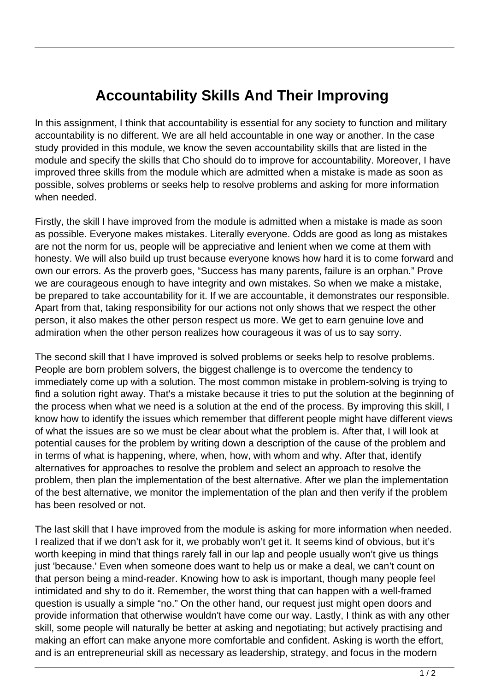## **Accountability Skills And Their Improving**

In this assignment, I think that accountability is essential for any society to function and military accountability is no different. We are all held accountable in one way or another. In the case study provided in this module, we know the seven accountability skills that are listed in the module and specify the skills that Cho should do to improve for accountability. Moreover, I have improved three skills from the module which are admitted when a mistake is made as soon as possible, solves problems or seeks help to resolve problems and asking for more information when needed.

Firstly, the skill I have improved from the module is admitted when a mistake is made as soon as possible. Everyone makes mistakes. Literally everyone. Odds are good as long as mistakes are not the norm for us, people will be appreciative and lenient when we come at them with honesty. We will also build up trust because everyone knows how hard it is to come forward and own our errors. As the proverb goes, "Success has many parents, failure is an orphan." Prove we are courageous enough to have integrity and own mistakes. So when we make a mistake, be prepared to take accountability for it. If we are accountable, it demonstrates our responsible. Apart from that, taking responsibility for our actions not only shows that we respect the other person, it also makes the other person respect us more. We get to earn genuine love and admiration when the other person realizes how courageous it was of us to say sorry.

The second skill that I have improved is solved problems or seeks help to resolve problems. People are born problem solvers, the biggest challenge is to overcome the tendency to immediately come up with a solution. The most common mistake in problem-solving is trying to find a solution right away. That's a mistake because it tries to put the solution at the beginning of the process when what we need is a solution at the end of the process. By improving this skill, I know how to identify the issues which remember that different people might have different views of what the issues are so we must be clear about what the problem is. After that, I will look at potential causes for the problem by writing down a description of the cause of the problem and in terms of what is happening, where, when, how, with whom and why. After that, identify alternatives for approaches to resolve the problem and select an approach to resolve the problem, then plan the implementation of the best alternative. After we plan the implementation of the best alternative, we monitor the implementation of the plan and then verify if the problem has been resolved or not.

The last skill that I have improved from the module is asking for more information when needed. I realized that if we don't ask for it, we probably won't get it. It seems kind of obvious, but it's worth keeping in mind that things rarely fall in our lap and people usually won't give us things just 'because.' Even when someone does want to help us or make a deal, we can't count on that person being a mind-reader. Knowing how to ask is important, though many people feel intimidated and shy to do it. Remember, the worst thing that can happen with a well-framed question is usually a simple "no." On the other hand, our request just might open doors and provide information that otherwise wouldn't have come our way. Lastly, I think as with any other skill, some people will naturally be better at asking and negotiating; but actively practising and making an effort can make anyone more comfortable and confident. Asking is worth the effort, and is an entrepreneurial skill as necessary as leadership, strategy, and focus in the modern